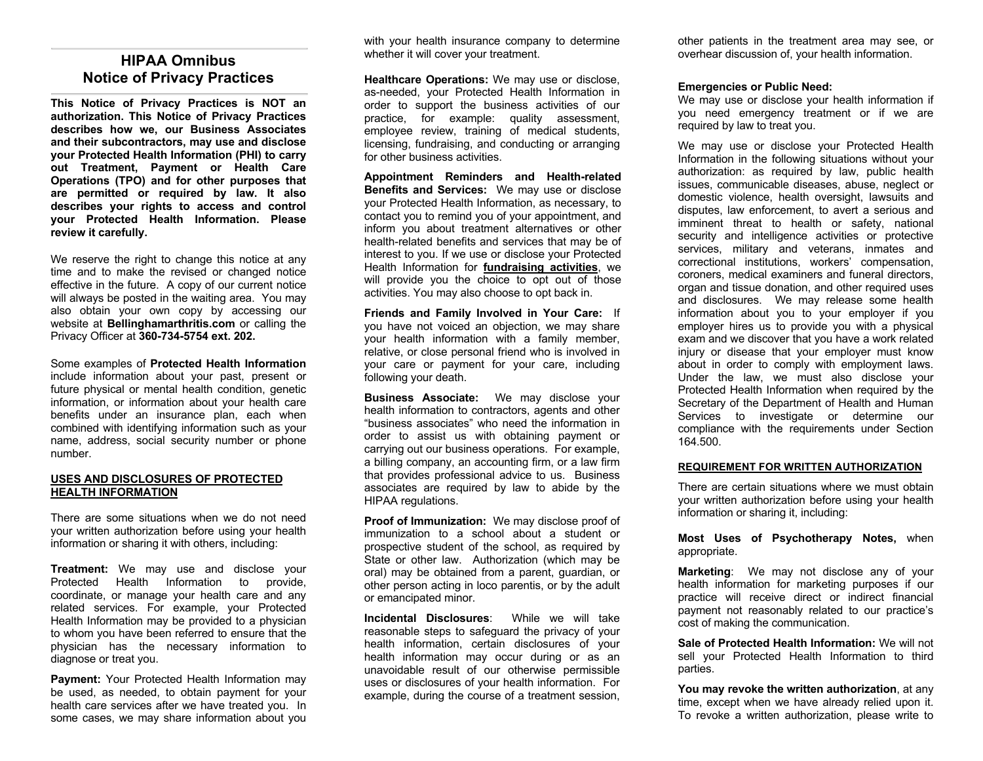## **HIPAA Omnibus Notice of Privacy Practices**

**This Notice of Privacy Practices is NOT an authorization. This Notice of Privacy Practices describes how we, our Business Associates and their subcontractors, may use and disclose your Protected Health Information (PHI) to carry out Treatment, Payment or Health Care Operations (TPO) and for other purposes that are permitted or required by law. It also describes your rights to access and control your Protected Health Information. Please review it carefully.**

We reserve the right to change this notice at any time and to make the revised or changed notice effective in the future. A copy of our current notice will always be posted in the waiting area. You may also obtain your own copy by accessing our website at **Bellinghamarthritis.com** or calling the Privacy Officer at **360-734-5754 ext. 202.**

Some examples of **Protected Health Information** include information about your past, present or future physical or mental health condition, genetic information, or information about your health care benefits under an insurance plan, each when combined with identifying information such as your name, address, social security number or phone number.

#### **USES AND DISCLOSURES OF PROTECTED HEALTH INFORMATION**

There are some situations when we do not need your written authorization before using your health information or sharing it with others, including:

**Treatment:** We may use and disclose your Protected Health Information to provide, coordinate, or manage your health care and any related services. For example, your Protected Health Information may be provided to a physician to whom you have been referred to ensure that the physician has the necessary information to diagnose or treat you.

**Payment:** Your Protected Health Information may be used, as needed, to obtain payment for your health care services after we have treated you. In some cases, we may share information about you with your health insurance company to determine whether it will cover your treatment.

**Healthcare Operations:** We may use or disclose, as-needed, your Protected Health Information in order to support the business activities of our practice, for example: quality assessment, employee review, training of medical students, licensing, fundraising, and conducting or arranging for other business activities.

**Appointment Reminders and Health-related Benefits and Services:** We may use or disclose your Protected Health Information, as necessary, to contact you to remind you of your appointment, and inform you about treatment alternatives or other health-related benefits and services that may be of interest to you. If we use or disclose your Protected Health Information for **fundraising activities**, we will provide you the choice to opt out of those activities. You may also choose to opt back in.

**Friends and Family Involved in Your Care:** If you have not voiced an objection, we may share your health information with a family member, relative, or close personal friend who is involved in your care or payment for your care, including following your death.

**Business Associate:** We may disclose your health information to contractors, agents and other "business associates" who need the information in order to assist us with obtaining payment or carrying out our business operations. For example, a billing company, an accounting firm, or a law firm that provides professional advice to us. Business associates are required by law to abide by the HIPAA regulations.

**Proof of Immunization:** We may disclose proof of immunization to a school about a student or prospective student of the school, as required by State or other law. Authorization (which may be oral) may be obtained from a parent, guardian, or other person acting in loco parentis, or by the adult or emancipated minor.

**Incidental Disclosures**: While we will take reasonable steps to safeguard the privacy of your health information, certain disclosures of your health information may occur during or as an unavoidable result of our otherwise permissible uses or disclosures of your health information. For example, during the course of a treatment session,

other patients in the treatment area may see, or overhear discussion of, your health information.

#### **Emergencies or Public Need:**

We may use or disclose your health information if you need emergency treatment or if we are required by law to treat you.

We may use or disclose your Protected Health Information in the following situations without your authorization: as required by law, public health issues, communicable diseases, abuse, neglect or domestic violence, health oversight, lawsuits and disputes, law enforcement, to avert a serious and imminent threat to health or safety, national security and intelligence activities or protective services, military and veterans, inmates and correctional institutions, workers' compensation, coroners, medical examiners and funeral directors, organ and tissue donation, and other required uses and disclosures. We may release some health information about you to your employer if you employer hires us to provide you with a physical exam and we discover that you have a work related injury or disease that your employer must know about in order to comply with employment laws. Under the law, we must also disclose your Protected Health Information when required by the Secretary of the Department of Health and Human Services to investigate or determine our compliance with the requirements under Section 164.500.

#### **REQUIREMENT FOR WRITTEN AUTHORIZATION**

There are certain situations where we must obtain your written authorization before using your health information or sharing it, including:

#### **Most Uses of Psychotherapy Notes,** when appropriate.

**Marketing**: We may not disclose any of your health information for marketing purposes if our practice will receive direct or indirect financial payment not reasonably related to our practice's cost of making the communication.

**Sale of Protected Health Information:** We will not sell your Protected Health Information to third parties.

**You may revoke the written authorization**, at any time, except when we have already relied upon it. To revoke a written authorization, please write to